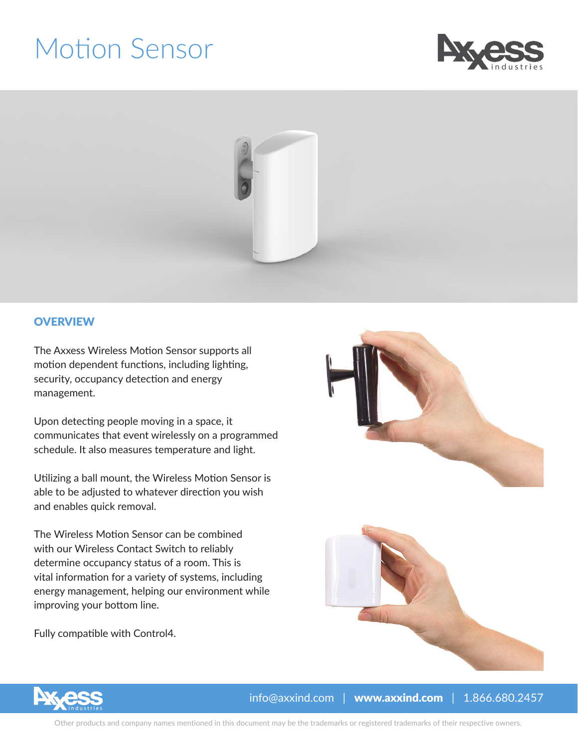## Motion Sensor





#### **OVERVIEW**

The Axxess Wireless Motion Sensor supports all motion dependent functions, including lighting, security, occupancy detection and energy management.

Upon detecting people moving in a space, it communicates that event wirelessly on a programmed schedule. It also measures temperature and light.

Utilizing a ball mount, the Wireless Motion Sensor is able to be adjusted to whatever direction you wish and enables quick removal.

The Wireless Motion Sensor can be combined with our Wireless Contact Switch to reliably determine occupancy status of a room. This is vital information for a variety of systems, including energy management, helping our environment while improving your bottom line.

Fully compatible with Control4.







 $info@axxind.com$  | www.axxind.com | 1.866.680.2457

Other products and company names mentioned in this document may be the trademarks or registered trademarks of their respective owners.